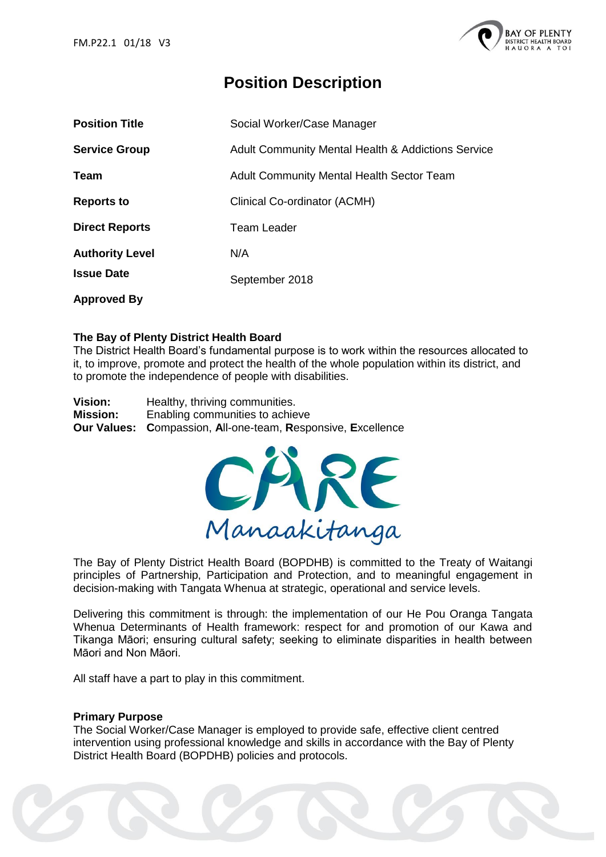

# **Position Description**

| <b>Position Title</b>  | Social Worker/Case Manager                                    |
|------------------------|---------------------------------------------------------------|
| <b>Service Group</b>   | <b>Adult Community Mental Health &amp; Addictions Service</b> |
| Team                   | Adult Community Mental Health Sector Team                     |
| <b>Reports to</b>      | Clinical Co-ordinator (ACMH)                                  |
| <b>Direct Reports</b>  | <b>Team Leader</b>                                            |
| <b>Authority Level</b> | N/A                                                           |
| <b>Issue Date</b>      | September 2018                                                |
| <b>Approved By</b>     |                                                               |

### **The Bay of Plenty District Health Board**

The District Health Board's fundamental purpose is to work within the resources allocated to it, to improve, promote and protect the health of the whole population within its district, and to promote the independence of people with disabilities.

**Vision:** Healthy, thriving communities. **Mission:** Enabling communities to achieve **Our Values: C**ompassion, **A**ll-one-team, **R**esponsive, **E**xcellence



The Bay of Plenty District Health Board (BOPDHB) is committed to the Treaty of Waitangi principles of Partnership, Participation and Protection, and to meaningful engagement in decision-making with Tangata Whenua at strategic, operational and service levels.

Delivering this commitment is through: the implementation of our He Pou Oranga Tangata Whenua Determinants of Health framework: respect for and promotion of our Kawa and Tikanga Māori; ensuring cultural safety; seeking to eliminate disparities in health between Māori and Non Māori.

All staff have a part to play in this commitment.

#### **Primary Purpose**

The Social Worker/Case Manager is employed to provide safe, effective client centred intervention using professional knowledge and skills in accordance with the Bay of Plenty District Health Board (BOPDHB) policies and protocols.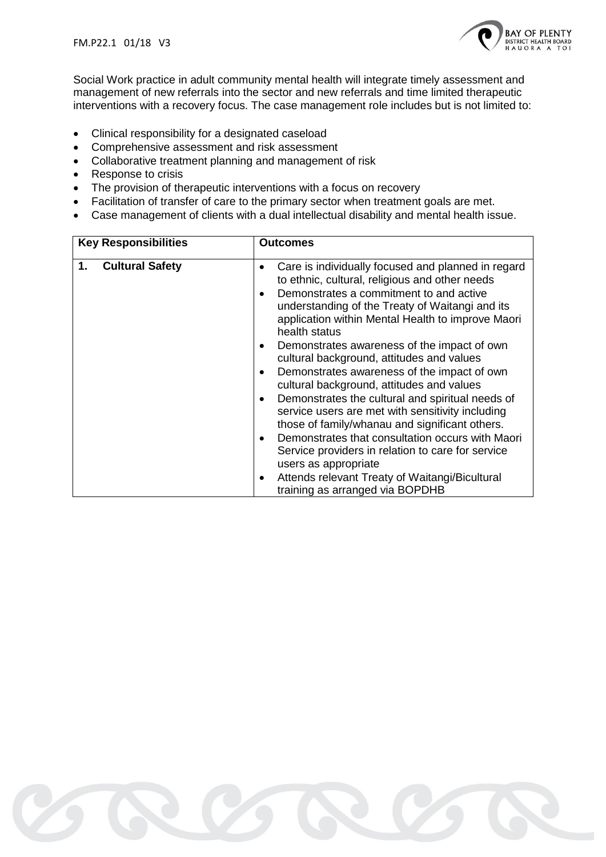

Social Work practice in adult community mental health will integrate timely assessment and management of new referrals into the sector and new referrals and time limited therapeutic interventions with a recovery focus. The case management role includes but is not limited to:

- Clinical responsibility for a designated caseload
- Comprehensive assessment and risk assessment
- Collaborative treatment planning and management of risk
- Response to crisis
- The provision of therapeutic interventions with a focus on recovery
- Facilitation of transfer of care to the primary sector when treatment goals are met.
- Case management of clients with a dual intellectual disability and mental health issue.

| <b>Key Responsibilities</b>  | <b>Outcomes</b>                                                                                                                                                                                                                                                                                                                                                                                                                                                                                                                                                                        |  |
|------------------------------|----------------------------------------------------------------------------------------------------------------------------------------------------------------------------------------------------------------------------------------------------------------------------------------------------------------------------------------------------------------------------------------------------------------------------------------------------------------------------------------------------------------------------------------------------------------------------------------|--|
| <b>Cultural Safety</b><br>1. | Care is individually focused and planned in regard<br>to ethnic, cultural, religious and other needs<br>Demonstrates a commitment to and active<br>understanding of the Treaty of Waitangi and its<br>application within Mental Health to improve Maori<br>health status                                                                                                                                                                                                                                                                                                               |  |
|                              | Demonstrates awareness of the impact of own<br>cultural background, attitudes and values<br>Demonstrates awareness of the impact of own<br>cultural background, attitudes and values<br>Demonstrates the cultural and spiritual needs of<br>service users are met with sensitivity including<br>those of family/whanau and significant others.<br>Demonstrates that consultation occurs with Maori<br>$\bullet$<br>Service providers in relation to care for service<br>users as appropriate<br>Attends relevant Treaty of Waitangi/Bicultural<br>٠<br>training as arranged via BOPDHB |  |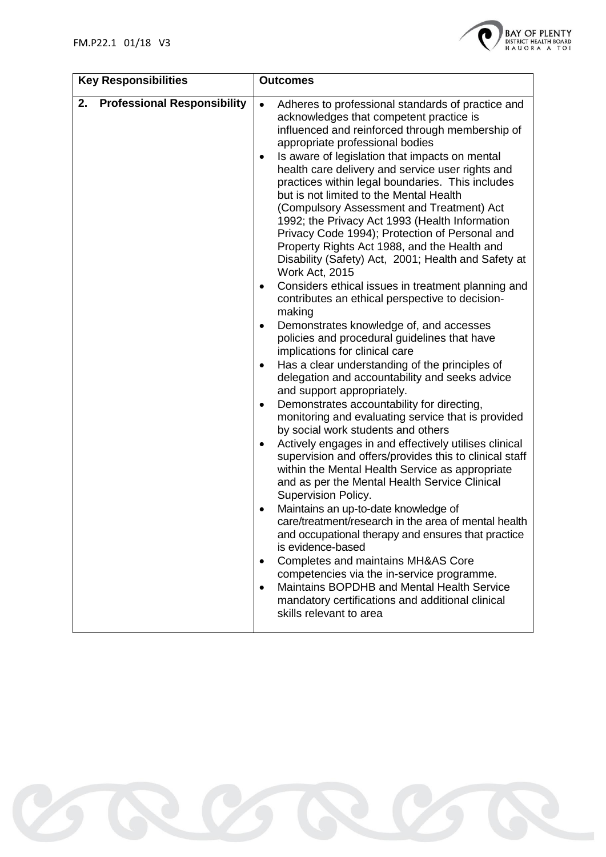

| <b>Key Responsibilities</b>              | <b>Outcomes</b>                                                                                                                                                                                                                                                                                                                                                                                                                                                                                                                                                                                                                                                                                                                                                                                                                                                                                                                                                                                                                                                                                                                                                                                                                                                                                                                                                                                                                                                                                                                                                                                                                                                                                                                                                                                                                                                                                       |
|------------------------------------------|-------------------------------------------------------------------------------------------------------------------------------------------------------------------------------------------------------------------------------------------------------------------------------------------------------------------------------------------------------------------------------------------------------------------------------------------------------------------------------------------------------------------------------------------------------------------------------------------------------------------------------------------------------------------------------------------------------------------------------------------------------------------------------------------------------------------------------------------------------------------------------------------------------------------------------------------------------------------------------------------------------------------------------------------------------------------------------------------------------------------------------------------------------------------------------------------------------------------------------------------------------------------------------------------------------------------------------------------------------------------------------------------------------------------------------------------------------------------------------------------------------------------------------------------------------------------------------------------------------------------------------------------------------------------------------------------------------------------------------------------------------------------------------------------------------------------------------------------------------------------------------------------------------|
| <b>Professional Responsibility</b><br>2. | Adheres to professional standards of practice and<br>$\bullet$<br>acknowledges that competent practice is<br>influenced and reinforced through membership of<br>appropriate professional bodies<br>Is aware of legislation that impacts on mental<br>health care delivery and service user rights and<br>practices within legal boundaries. This includes<br>but is not limited to the Mental Health<br>(Compulsory Assessment and Treatment) Act<br>1992; the Privacy Act 1993 (Health Information<br>Privacy Code 1994); Protection of Personal and<br>Property Rights Act 1988, and the Health and<br>Disability (Safety) Act, 2001; Health and Safety at<br>Work Act, 2015<br>Considers ethical issues in treatment planning and<br>٠<br>contributes an ethical perspective to decision-<br>making<br>Demonstrates knowledge of, and accesses<br>policies and procedural guidelines that have<br>implications for clinical care<br>Has a clear understanding of the principles of<br>٠<br>delegation and accountability and seeks advice<br>and support appropriately.<br>Demonstrates accountability for directing,<br>monitoring and evaluating service that is provided<br>by social work students and others<br>Actively engages in and effectively utilises clinical<br>$\bullet$<br>supervision and offers/provides this to clinical staff<br>within the Mental Health Service as appropriate<br>and as per the Mental Health Service Clinical<br>Supervision Policy.<br>Maintains an up-to-date knowledge of<br>care/treatment/research in the area of mental health<br>and occupational therapy and ensures that practice<br>is evidence-based<br>Completes and maintains MH&AS Core<br>$\bullet$<br>competencies via the in-service programme.<br>Maintains BOPDHB and Mental Health Service<br>$\bullet$<br>mandatory certifications and additional clinical<br>skills relevant to area |
|                                          |                                                                                                                                                                                                                                                                                                                                                                                                                                                                                                                                                                                                                                                                                                                                                                                                                                                                                                                                                                                                                                                                                                                                                                                                                                                                                                                                                                                                                                                                                                                                                                                                                                                                                                                                                                                                                                                                                                       |

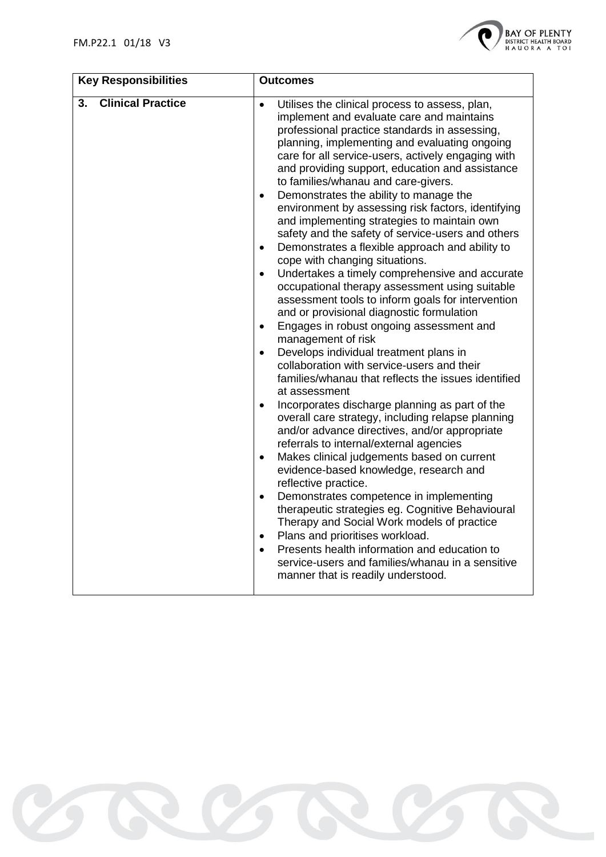

| <b>Key Responsibilities</b>    | <b>Outcomes</b>                                                                                                                                                                                                                                                                                                                                                                                                                                                                                                                                                                                                                                                                                                                                                                                                                                                                                                                                                                                                                                                                                                                                                                                                                                                                                                                                                                                                                                                                                                                                                                                                                                                                                                                                                                                                                                                            |
|--------------------------------|----------------------------------------------------------------------------------------------------------------------------------------------------------------------------------------------------------------------------------------------------------------------------------------------------------------------------------------------------------------------------------------------------------------------------------------------------------------------------------------------------------------------------------------------------------------------------------------------------------------------------------------------------------------------------------------------------------------------------------------------------------------------------------------------------------------------------------------------------------------------------------------------------------------------------------------------------------------------------------------------------------------------------------------------------------------------------------------------------------------------------------------------------------------------------------------------------------------------------------------------------------------------------------------------------------------------------------------------------------------------------------------------------------------------------------------------------------------------------------------------------------------------------------------------------------------------------------------------------------------------------------------------------------------------------------------------------------------------------------------------------------------------------------------------------------------------------------------------------------------------------|
| <b>Clinical Practice</b><br>3. | Utilises the clinical process to assess, plan,<br>$\bullet$<br>implement and evaluate care and maintains<br>professional practice standards in assessing,<br>planning, implementing and evaluating ongoing<br>care for all service-users, actively engaging with<br>and providing support, education and assistance<br>to families/whanau and care-givers.<br>Demonstrates the ability to manage the<br>$\bullet$<br>environment by assessing risk factors, identifying<br>and implementing strategies to maintain own<br>safety and the safety of service-users and others<br>Demonstrates a flexible approach and ability to<br>$\bullet$<br>cope with changing situations.<br>Undertakes a timely comprehensive and accurate<br>$\bullet$<br>occupational therapy assessment using suitable<br>assessment tools to inform goals for intervention<br>and or provisional diagnostic formulation<br>Engages in robust ongoing assessment and<br>$\bullet$<br>management of risk<br>Develops individual treatment plans in<br>$\bullet$<br>collaboration with service-users and their<br>families/whanau that reflects the issues identified<br>at assessment<br>Incorporates discharge planning as part of the<br>$\bullet$<br>overall care strategy, including relapse planning<br>and/or advance directives, and/or appropriate<br>referrals to internal/external agencies<br>Makes clinical judgements based on current<br>$\bullet$<br>evidence-based knowledge, research and<br>reflective practice.<br>Demonstrates competence in implementing<br>$\bullet$<br>therapeutic strategies eg. Cognitive Behavioural<br>Therapy and Social Work models of practice<br>Plans and prioritises workload.<br>$\bullet$<br>Presents health information and education to<br>$\bullet$<br>service-users and families/whanau in a sensitive<br>manner that is readily understood. |

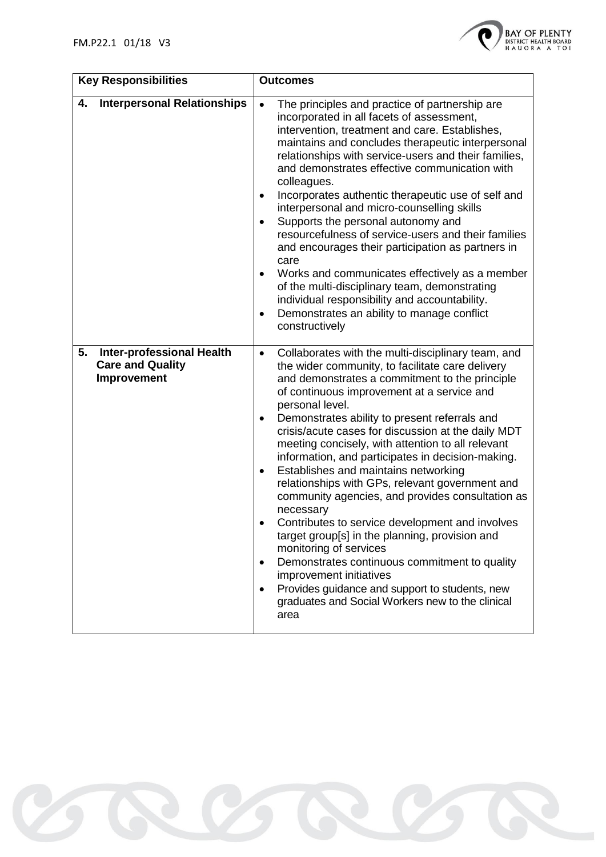

| <b>Key Responsibilities</b>                                                      | <b>Outcomes</b>                                                                                                                                                                                                                                                                                                                                                                                                                                                                                                                                                                                                                                                                                                                                                                                                                                                                                                                                                        |  |
|----------------------------------------------------------------------------------|------------------------------------------------------------------------------------------------------------------------------------------------------------------------------------------------------------------------------------------------------------------------------------------------------------------------------------------------------------------------------------------------------------------------------------------------------------------------------------------------------------------------------------------------------------------------------------------------------------------------------------------------------------------------------------------------------------------------------------------------------------------------------------------------------------------------------------------------------------------------------------------------------------------------------------------------------------------------|--|
| <b>Interpersonal Relationships</b><br>4.                                         | The principles and practice of partnership are<br>$\bullet$<br>incorporated in all facets of assessment,<br>intervention, treatment and care. Establishes,<br>maintains and concludes therapeutic interpersonal<br>relationships with service-users and their families,<br>and demonstrates effective communication with<br>colleagues.<br>Incorporates authentic therapeutic use of self and<br>interpersonal and micro-counselling skills<br>Supports the personal autonomy and<br>resourcefulness of service-users and their families<br>and encourages their participation as partners in<br>care<br>Works and communicates effectively as a member<br>$\bullet$<br>of the multi-disciplinary team, demonstrating<br>individual responsibility and accountability.<br>Demonstrates an ability to manage conflict<br>٠<br>constructively                                                                                                                            |  |
| <b>Inter-professional Health</b><br>5.<br><b>Care and Quality</b><br>Improvement | Collaborates with the multi-disciplinary team, and<br>$\bullet$<br>the wider community, to facilitate care delivery<br>and demonstrates a commitment to the principle<br>of continuous improvement at a service and<br>personal level.<br>Demonstrates ability to present referrals and<br>crisis/acute cases for discussion at the daily MDT<br>meeting concisely, with attention to all relevant<br>information, and participates in decision-making.<br>Establishes and maintains networking<br>$\bullet$<br>relationships with GPs, relevant government and<br>community agencies, and provides consultation as<br>necessary<br>Contributes to service development and involves<br>target group[s] in the planning, provision and<br>monitoring of services<br>Demonstrates continuous commitment to quality<br>$\bullet$<br>improvement initiatives<br>Provides guidance and support to students, new<br>graduates and Social Workers new to the clinical<br>area |  |

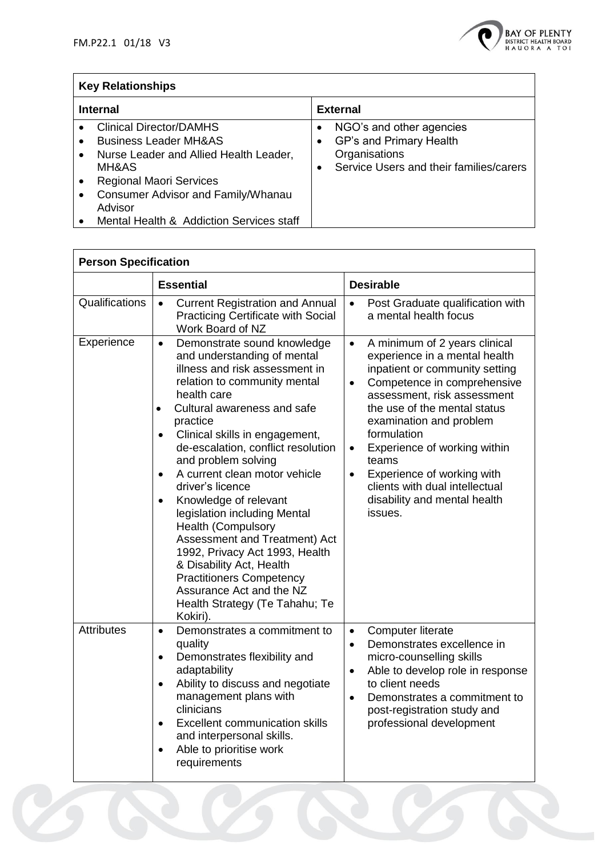

# **Key Relationships**

| <b>Internal</b>                                                                                                                                                                                                                                                                                                              | <b>External</b>                                                                                                                                |
|------------------------------------------------------------------------------------------------------------------------------------------------------------------------------------------------------------------------------------------------------------------------------------------------------------------------------|------------------------------------------------------------------------------------------------------------------------------------------------|
| <b>Clinical Director/DAMHS</b><br>$\bullet$<br><b>Business Leader MH&amp;AS</b><br>$\bullet$<br>Nurse Leader and Allied Health Leader,<br>$\bullet$<br>MH&AS<br><b>Regional Maori Services</b><br>$\bullet$<br><b>Consumer Advisor and Family/Whanau</b><br>$\bullet$<br>Advisor<br>Mental Health & Addiction Services staff | NGO's and other agencies<br>٠<br>GP's and Primary Health<br>$\bullet$<br>Organisations<br>Service Users and their families/carers<br>$\bullet$ |

| <b>Person Specification</b> |                                                                                                                                                                                                                                                                                                                                                                                                                                                                                                                                                                                                                                                                                                               |                                                                                                                                                                                                                                                                                                                                                                                                                                                  |
|-----------------------------|---------------------------------------------------------------------------------------------------------------------------------------------------------------------------------------------------------------------------------------------------------------------------------------------------------------------------------------------------------------------------------------------------------------------------------------------------------------------------------------------------------------------------------------------------------------------------------------------------------------------------------------------------------------------------------------------------------------|--------------------------------------------------------------------------------------------------------------------------------------------------------------------------------------------------------------------------------------------------------------------------------------------------------------------------------------------------------------------------------------------------------------------------------------------------|
|                             | <b>Essential</b>                                                                                                                                                                                                                                                                                                                                                                                                                                                                                                                                                                                                                                                                                              | <b>Desirable</b>                                                                                                                                                                                                                                                                                                                                                                                                                                 |
| Qualifications              | <b>Current Registration and Annual</b><br>$\bullet$<br><b>Practicing Certificate with Social</b><br>Work Board of NZ                                                                                                                                                                                                                                                                                                                                                                                                                                                                                                                                                                                          | Post Graduate qualification with<br>$\bullet$<br>a mental health focus                                                                                                                                                                                                                                                                                                                                                                           |
| Experience                  | Demonstrate sound knowledge<br>$\bullet$<br>and understanding of mental<br>illness and risk assessment in<br>relation to community mental<br>health care<br>Cultural awareness and safe<br>$\bullet$<br>practice<br>Clinical skills in engagement,<br>$\bullet$<br>de-escalation, conflict resolution<br>and problem solving<br>A current clean motor vehicle<br>$\bullet$<br>driver's licence<br>Knowledge of relevant<br>$\bullet$<br>legislation including Mental<br><b>Health (Compulsory</b><br>Assessment and Treatment) Act<br>1992, Privacy Act 1993, Health<br>& Disability Act, Health<br><b>Practitioners Competency</b><br>Assurance Act and the NZ<br>Health Strategy (Te Tahahu; Te<br>Kokiri). | A minimum of 2 years clinical<br>$\bullet$<br>experience in a mental health<br>inpatient or community setting<br>Competence in comprehensive<br>$\bullet$<br>assessment, risk assessment<br>the use of the mental status<br>examination and problem<br>formulation<br>Experience of working within<br>$\bullet$<br>teams<br>Experience of working with<br>$\bullet$<br>clients with dual intellectual<br>disability and mental health<br>issues. |
| <b>Attributes</b>           | Demonstrates a commitment to<br>$\bullet$<br>quality<br>Demonstrates flexibility and<br>$\bullet$<br>adaptability<br>Ability to discuss and negotiate<br>$\bullet$<br>management plans with<br>clinicians<br><b>Excellent communication skills</b><br>$\bullet$<br>and interpersonal skills.<br>Able to prioritise work<br>requirements                                                                                                                                                                                                                                                                                                                                                                       | Computer literate<br>$\bullet$<br>Demonstrates excellence in<br>$\bullet$<br>micro-counselling skills<br>Able to develop role in response<br>$\bullet$<br>to client needs<br>Demonstrates a commitment to<br>$\bullet$<br>post-registration study and<br>professional development                                                                                                                                                                |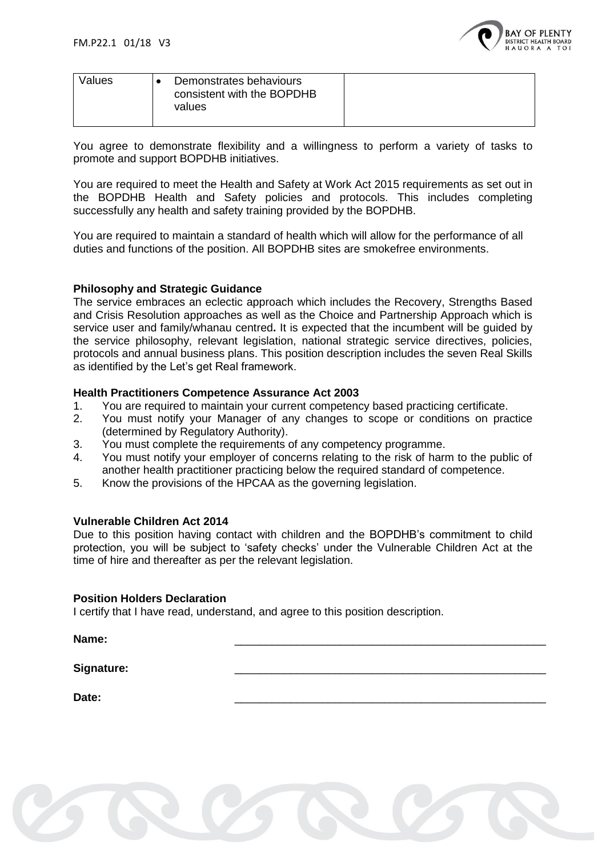

| Values | Demonstrates behaviours<br>consistent with the BOPDHB<br>values |  |
|--------|-----------------------------------------------------------------|--|
|        |                                                                 |  |

You agree to demonstrate flexibility and a willingness to perform a variety of tasks to promote and support BOPDHB initiatives.

You are required to meet the Health and Safety at Work Act 2015 requirements as set out in the BOPDHB Health and Safety policies and protocols. This includes completing successfully any health and safety training provided by the BOPDHB.

You are required to maintain a standard of health which will allow for the performance of all duties and functions of the position. All BOPDHB sites are smokefree environments.

### **Philosophy and Strategic Guidance**

The service embraces an eclectic approach which includes the Recovery, Strengths Based and Crisis Resolution approaches as well as the Choice and Partnership Approach which is service user and family/whanau centred**.** It is expected that the incumbent will be guided by the service philosophy, relevant legislation, national strategic service directives, policies, protocols and annual business plans. This position description includes the seven Real Skills as identified by the Let's get Real framework.

#### **Health Practitioners Competence Assurance Act 2003**

- 1. You are required to maintain your current competency based practicing certificate.
- 2. You must notify your Manager of any changes to scope or conditions on practice (determined by Regulatory Authority).
- 3. You must complete the requirements of any competency programme.
- 4. You must notify your employer of concerns relating to the risk of harm to the public of another health practitioner practicing below the required standard of competence.
- 5. Know the provisions of the HPCAA as the governing legislation.

#### **Vulnerable Children Act 2014**

Due to this position having contact with children and the BOPDHB's commitment to child protection, you will be subject to 'safety checks' under the Vulnerable Children Act at the time of hire and thereafter as per the relevant legislation.

#### **Position Holders Declaration**

I certify that I have read, understand, and agree to this position description.

**Name:** \_\_\_\_\_\_\_\_\_\_\_\_\_\_\_\_\_\_\_\_\_\_\_\_\_\_\_\_\_\_\_\_\_\_\_\_\_\_\_\_\_\_\_\_\_\_\_\_\_\_

Signature:

**Date:** \_\_\_\_\_\_\_\_\_\_\_\_\_\_\_\_\_\_\_\_\_\_\_\_\_\_\_\_\_\_\_\_\_\_\_\_\_\_\_\_\_\_\_\_\_\_\_\_\_\_

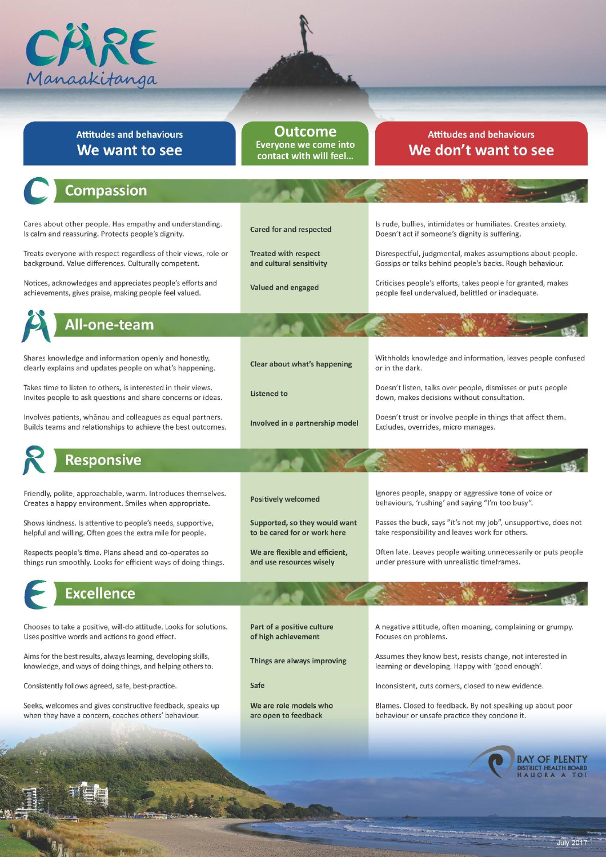

## **Attitudes and behaviours** We want to see

#### Outcome **Everyone we come into** contact with will feel...

# **Attitudes and behaviours** We don't want to see

#### Compassion Cares about other people. Has empathy and understanding. Is rude, bullies, intimidates or humiliates. Creates anxiety. **Cared for and respected** Is calm and reassuring. Protects people's dignity. Doesn't act if someone's dignity is suffering. Treats everyone with respect regardless of their views, role or **Treated with respect** Disrespectful, judgmental, makes assumptions about people. background. Value differences. Culturally competent. and cultural sensitivity Gossips or talks behind people's backs. Rough behaviour. Notices, acknowledges and appreciates people's efforts and Criticises people's efforts, takes people for granted, makes Valued and engaged achievements, gives praise, making people feel valued. people feel undervalued, belittled or inadequate. All-one-team Shares knowledge and information openly and honestly, Withholds knowledge and information, leaves people confused Clear about what's happening clearly explains and updates people on what's happening. or in the dark. Takes time to listen to others, is interested in their views. Doesn't listen, talks over people, dismisses or puts people **Listened to** down, makes decisions without consultation. Invites people to ask questions and share concerns or ideas. Involves patients, whānau and colleagues as equal partners. Doesn't trust or involve people in things that affect them. Involved in a partnership model Builds teams and relationships to achieve the best outcomes. Excludes, overrides, micro manages. **Responsive** Friendly, polite, approachable, warm. Introduces themselves. Ignores people, snappy or aggressive tone of voice or **Positively welcomed** Creates a happy environment. Smiles when appropriate. behaviours, 'rushing' and saying "I'm too busy". Passes the buck, says "it's not my job", unsupportive, does not Shows kindness. Is attentive to people's needs, supportive, Supported, so they would want helpful and willing. Often goes the extra mile for people. to be cared for or work here take responsibility and leaves work for others. Respects people's time. Plans ahead and co-operates so We are flexible and efficient. Often late. Leaves people waiting unnecessarily or puts people things run smoothly. Looks for efficient ways of doing things. and use resources wisely under pressure with unrealistic timeframes.

# **Excellence**

Chooses to take a positive, will-do attitude. Looks for solutions. Uses positive words and actions to good effect.

Aims for the best results, always learning, developing skills, knowledge, and ways of doing things, and helping others to.

Consistently follows agreed, safe, best-practice.

Seeks, welcomes and gives constructive feedback, speaks up when they have a concern, coaches others' behaviour.

Part of a positive culture of high achievement

Things are always improving

Safe

We are role models who are open to feedback

A negative attitude, often moaning, complaining or grumpy. Focuses on problems.

Assumes they know best, resists change, not interested in learning or developing. Happy with 'good enough'.

Inconsistent, cuts corners, closed to new evidence.

Blames. Closed to feedback. By not speaking up about poor behaviour or unsafe practice they condone it.